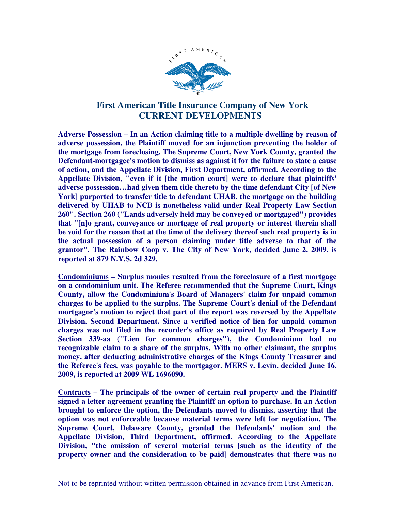

## **First American Title Insurance Company of New York CURRENT DEVELOPMENTS**

**Adverse Possession – In an Action claiming title to a multiple dwelling by reason of adverse possession, the Plaintiff moved for an injunction preventing the holder of the mortgage from foreclosing. The Supreme Court, New York County, granted the Defendant-mortgagee's motion to dismiss as against it for the failure to state a cause of action, and the Appellate Division, First Department, affirmed. According to the Appellate Division, "even if it [the motion court] were to declare that plaintiffs' adverse possession…had given them title thereto by the time defendant City [of New York] purported to transfer title to defendant UHAB, the mortgage on the building delivered by UHAB to NCB is nonetheless valid under Real Property Law Section 260". Section 260 ("Lands adversely held may be conveyed or mortgaged") provides that "[n]o grant, conveyance or mortgage of real property or interest therein shall be void for the reason that at the time of the delivery thereof such real property is in the actual possession of a person claiming under title adverse to that of the grantor". The Rainbow Coop v. The City of New York, decided June 2, 2009, is reported at 879 N.Y.S. 2d 329.** 

**Condominiums – Surplus monies resulted from the foreclosure of a first mortgage on a condominium unit. The Referee recommended that the Supreme Court, Kings County, allow the Condominium's Board of Managers' claim for unpaid common charges to be applied to the surplus. The Supreme Court's denial of the Defendant mortgagor's motion to reject that part of the report was reversed by the Appellate Division, Second Department. Since a verified notice of lien for unpaid common charges was not filed in the recorder's office as required by Real Property Law Section 339-aa ("Lien for common charges"), the Condominium had no recognizable claim to a share of the surplus. With no other claimant, the surplus money, after deducting administrative charges of the Kings County Treasurer and the Referee's fees, was payable to the mortgagor. MERS v. Levin, decided June 16, 2009, is reported at 2009 WL 1696090.** 

**Contracts – The principals of the owner of certain real property and the Plaintiff signed a letter agreement granting the Plaintiff an option to purchase. In an Action brought to enforce the option, the Defendants moved to dismiss, asserting that the option was not enforceable because material terms were left for negotiation. The Supreme Court, Delaware County, granted the Defendants' motion and the Appellate Division, Third Department, affirmed. According to the Appellate Division, "the omission of several material terms [such as the identity of the property owner and the consideration to be paid] demonstrates that there was no**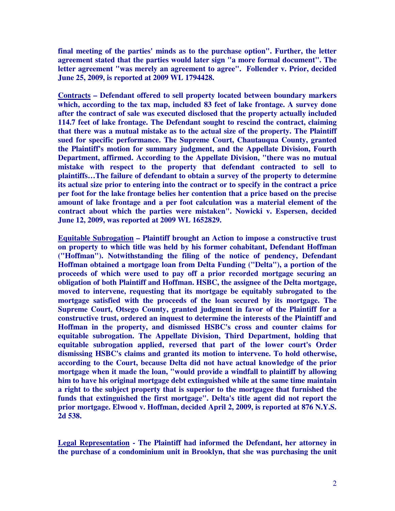**final meeting of the parties' minds as to the purchase option". Further, the letter agreement stated that the parties would later sign "a more formal document". The letter agreement "was merely an agreement to agree". Follender v. Prior, decided June 25, 2009, is reported at 2009 WL 1794428.** 

**Contracts – Defendant offered to sell property located between boundary markers which, according to the tax map, included 83 feet of lake frontage. A survey done after the contract of sale was executed disclosed that the property actually included 114.7 feet of lake frontage. The Defendant sought to rescind the contract, claiming that there was a mutual mistake as to the actual size of the property. The Plaintiff sued for specific performance. The Supreme Court, Chautauqua County, granted the Plaintiff's motion for summary judgment, and the Appellate Division, Fourth Department, affirmed. According to the Appellate Division, "there was no mutual mistake with respect to the property that defendant contracted to sell to plaintiffs…The failure of defendant to obtain a survey of the property to determine its actual size prior to entering into the contract or to specify in the contract a price per foot for the lake frontage belies her contention that a price based on the precise amount of lake frontage and a per foot calculation was a material element of the contract about which the parties were mistaken". Nowicki v. Espersen, decided June 12, 2009, was reported at 2009 WL 1652829.** 

**Equitable Subrogation – Plaintiff brought an Action to impose a constructive trust on property to which title was held by his former cohabitant, Defendant Hoffman ("Hoffman"). Notwithstanding the filing of the notice of pendency, Defendant Hoffman obtained a mortgage loan from Delta Funding ("Delta"), a portion of the proceeds of which were used to pay off a prior recorded mortgage securing an obligation of both Plaintiff and Hoffman. HSBC, the assignee of the Delta mortgage, moved to intervene, requesting that its mortgage be equitably subrogated to the mortgage satisfied with the proceeds of the loan secured by its mortgage. The Supreme Court, Otsego County, granted judgment in favor of the Plaintiff for a constructive trust, ordered an inquest to determine the interests of the Plaintiff and Hoffman in the property, and dismissed HSBC's cross and counter claims for equitable subrogation. The Appellate Division, Third Department, holding that equitable subrogation applied, reversed that part of the lower court's Order dismissing HSBC's claims and granted its motion to intervene. To hold otherwise, according to the Court, because Delta did not have actual knowledge of the prior mortgage when it made the loan, "would provide a windfall to plaintiff by allowing him to have his original mortgage debt extinguished while at the same time maintain a right to the subject property that is superior to the mortgagee that furnished the funds that extinguished the first mortgage". Delta's title agent did not report the prior mortgage. Elwood v. Hoffman, decided April 2, 2009, is reported at 876 N.Y.S. 2d 538.** 

**Legal Representation - The Plaintiff had informed the Defendant, her attorney in the purchase of a condominium unit in Brooklyn, that she was purchasing the unit**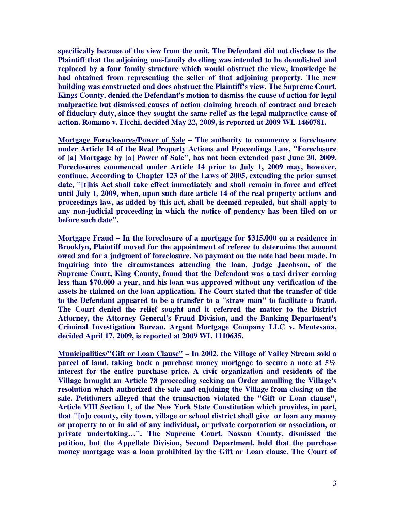**specifically because of the view from the unit. The Defendant did not disclose to the Plaintiff that the adjoining one-family dwelling was intended to be demolished and replaced by a four family structure which would obstruct the view, knowledge he had obtained from representing the seller of that adjoining property. The new building was constructed and does obstruct the Plaintiff's view. The Supreme Court, Kings County, denied the Defendant's motion to dismiss the cause of action for legal malpractice but dismissed causes of action claiming breach of contract and breach of fiduciary duty, since they sought the same relief as the legal malpractice cause of action. Romano v. Ficchi, decided May 22, 2009, is reported at 2009 WL 1460781.** 

**Mortgage Foreclosures/Power of Sale – The authority to commence a foreclosure under Article 14 of the Real Property Actions and Proceedings Law, "Foreclosure of [a] Mortgage by [a] Power of Sale", has not been extended past June 30, 2009. Foreclosures commenced under Article 14 prior to July 1, 2009 may, however, continue. According to Chapter 123 of the Laws of 2005, extending the prior sunset date, "[t]his Act shall take effect immediately and shall remain in force and effect until July 1, 2009, when, upon such date article 14 of the real property actions and proceedings law, as added by this act, shall be deemed repealed, but shall apply to any non-judicial proceeding in which the notice of pendency has been filed on or before such date".** 

**Mortgage Fraud – In the foreclosure of a mortgage for \$315,000 on a residence in Brooklyn, Plaintiff moved for the appointment of referee to determine the amount owed and for a judgment of foreclosure. No payment on the note had been made. In inquiring into the circumstances attending the loan, Judge Jacobson, of the Supreme Court, King County, found that the Defendant was a taxi driver earning less than \$70,000 a year, and his loan was approved without any verification of the assets he claimed on the loan application. The Court stated that the transfer of title to the Defendant appeared to be a transfer to a "straw man" to facilitate a fraud. The Court denied the relief sought and it referred the matter to the District Attorney, the Attorney General's Fraud Division, and the Banking Department's Criminal Investigation Bureau. Argent Mortgage Company LLC v. Mentesana, decided April 17, 2009, is reported at 2009 WL 1110635.** 

**Municipalities/"Gift or Loan Clause" – In 2002, the Village of Valley Stream sold a parcel of land, taking back a purchase money mortgage to secure a note at 5% interest for the entire purchase price. A civic organization and residents of the Village brought an Article 78 proceeding seeking an Order annulling the Village's resolution which authorized the sale and enjoining the Village from closing on the sale. Petitioners alleged that the transaction violated the "Gift or Loan clause", Article VIII Section 1, of the New York State Constitution which provides, in part, that "[n]o county, city town, village or school district shall give or loan any money or property to or in aid of any individual, or private corporation or association, or private undertaking…". The Supreme Court, Nassau County, dismissed the petition, but the Appellate Division, Second Department, held that the purchase money mortgage was a loan prohibited by the Gift or Loan clause. The Court of**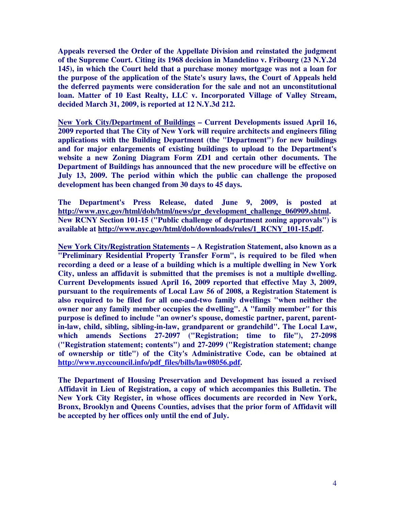**Appeals reversed the Order of the Appellate Division and reinstated the judgment of the Supreme Court. Citing its 1968 decision in Mandelino v. Fribourg (23 N.Y.2d 145), in which the Court held that a purchase money mortgage was not a loan for the purpose of the application of the State's usury laws, the Court of Appeals held the deferred payments were consideration for the sale and not an unconstitutional loan. Matter of 10 East Realty, LLC v. Incorporated Village of Valley Stream, decided March 31, 2009, is reported at 12 N.Y.3d 212.** 

**New York City/Department of Buildings – Current Developments issued April 16, 2009 reported that The City of New York will require architects and engineers filing applications with the Building Department (the "Department") for new buildings and for major enlargements of existing buildings to upload to the Department's website a new Zoning Diagram Form ZD1 and certain other documents. The Department of Buildings has announced that the new procedure will be effective on July 13, 2009. The period within which the public can challenge the proposed development has been changed from 30 days to 45 days.** 

**The Department's Press Release, dated June 9, 2009, is posted at http://www.nyc.gov/html/dob/html/news/pr\_development\_challenge\_060909.shtml. New RCNY Section 101-15 ("Public challenge of department zoning approvals") is available at http://www.nyc.gov/html/dob/downloads/rules/1\_RCNY\_101-15.pdf.** 

**New York City/Registration Statements – A Registration Statement, also known as a "Preliminary Residential Property Transfer Form", is required to be filed when recording a deed or a lease of a building which is a multiple dwelling in New York City, unless an affidavit is submitted that the premises is not a multiple dwelling. Current Developments issued April 16, 2009 reported that effective May 3, 2009, pursuant to the requirements of Local Law 56 of 2008, a Registration Statement is also required to be filed for all one-and-two family dwellings "when neither the owner nor any family member occupies the dwelling". A "family member" for this purpose is defined to include "an owner's spouse, domestic partner, parent, parentin-law, child, sibling, sibling-in-law, grandparent or grandchild". The Local Law, which amends Sections 27-2097 ("Registration; time to file"), 27-2098 ("Registration statement; contents") and 27-2099 ("Registration statement; change of ownership or title") of the City's Administrative Code, can be obtained at http://www.nyccouncil.info/pdf\_files/bills/law08056.pdf.** 

**The Department of Housing Preservation and Development has issued a revised Affidavit in Lieu of Registration, a copy of which accompanies this Bulletin. The New York City Register, in whose offices documents are recorded in New York, Bronx, Brooklyn and Queens Counties, advises that the prior form of Affidavit will be accepted by her offices only until the end of July.**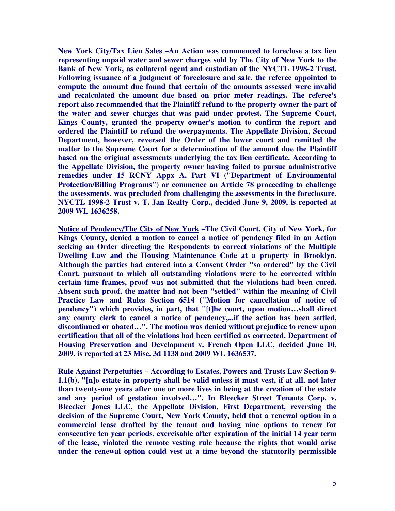**New York City/Tax Lien Sales –An Action was commenced to foreclose a tax lien representing unpaid water and sewer charges sold by The City of New York to the Bank of New York, as collateral agent and custodian of the NYCTL 1998-2 Trust. Following issuance of a judgment of foreclosure and sale, the referee appointed to compute the amount due found that certain of the amounts assessed were invalid and recalculated the amount due based on prior meter readings. The referee's report also recommended that the Plaintiff refund to the property owner the part of the water and sewer charges that was paid under protest. The Supreme Court, Kings County, granted the property owner's motion to confirm the report and ordered the Plaintiff to refund the overpayments. The Appellate Division, Second Department, however, reversed the Order of the lower court and remitted the matter to the Supreme Court for a determination of the amount due the Plaintiff based on the original assessments underlying the tax lien certificate. According to the Appellate Division, the property owner having failed to pursue administrative remedies under 15 RCNY Appx A, Part VI ("Department of Environmental Protection/Billing Programs") or commence an Article 78 proceeding to challenge the assessments, was precluded from challenging the assessments in the foreclosure. NYCTL 1998-2 Trust v. T. Jan Realty Corp., decided June 9, 2009, is reported at 2009 WL 1636258.** 

**Notice of Pendency/The City of New York –The Civil Court, City of New York, for Kings County, denied a motion to cancel a notice of pendency filed in an Action seeking an Order directing the Respondents to correct violations of the Multiple Dwelling Law and the Housing Maintenance Code at a property in Brooklyn. Although the parties had entered into a Consent Order "so ordered" by the Civil Court, pursuant to which all outstanding violations were to be corrected within certain time frames, proof was not submitted that the violations had been cured. Absent such proof, the matter had not been "settled" within the meaning of Civil Practice Law and Rules Section 6514 ("Motion for cancellation of notice of pendency") which provides, in part, that "[t]he court, upon motion…shall direct any county clerk to cancel a notice of pendency,...if the action has been settled, discontinued or abated…". The motion was denied without prejudice to renew upon certification that all of the violations had been certified as corrected. Department of Housing Preservation and Development v. French Open LLC, decided June 10, 2009, is reported at 23 Misc. 3d 1138 and 2009 WL 1636537.** 

**Rule Against Perpetuities – According to Estates, Powers and Trusts Law Section 9- 1.1(b), "[n]o estate in property shall be valid unless it must vest, if at all, not later than twenty-one years after one or more lives in being at the creation of the estate and any period of gestation involved…". In Bleecker Street Tenants Corp. v. Bleecker Jones LLC, the Appellate Division, First Department, reversing the decision of the Supreme Court, New York County, held that a renewal option in a commercial lease drafted by the tenant and having nine options to renew for consecutive ten year periods, exercisable after expiration of the initial 14 year term of the lease, violated the remote vesting rule because the rights that would arise under the renewal option could vest at a time beyond the statutorily permissible**